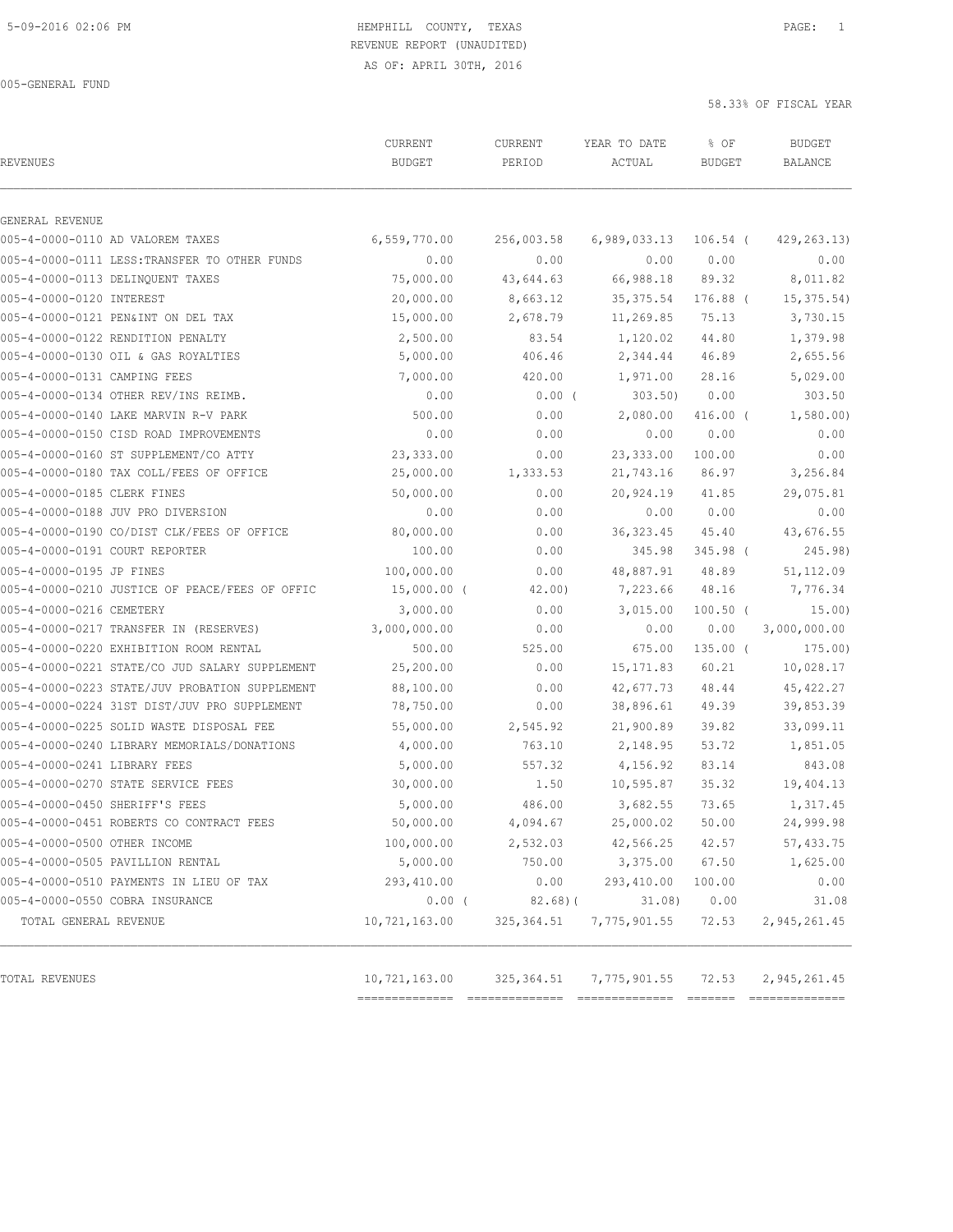AS OF: APRIL 30TH, 2016

005-GENERAL FUND

| <b>REVENUES</b>                |                                                | CURRENT<br><b>BUDGET</b> | CURRENT<br>PERIOD | YEAR TO DATE<br>ACTUAL | % OF<br><b>BUDGET</b> | <b>BUDGET</b><br>BALANCE |
|--------------------------------|------------------------------------------------|--------------------------|-------------------|------------------------|-----------------------|--------------------------|
|                                |                                                |                          |                   |                        |                       |                          |
| GENERAL REVENUE                |                                                |                          |                   |                        |                       |                          |
|                                | 005-4-0000-0110 AD VALOREM TAXES               | 6,559,770.00             | 256,003.58        | 6,989,033.13           | 106.54 (              | 429, 263.13)             |
|                                | 005-4-0000-0111 LESS: TRANSFER TO OTHER FUNDS  | 0.00                     | 0.00              | 0.00                   | 0.00                  | 0.00                     |
|                                | 005-4-0000-0113 DELINQUENT TAXES               | 75,000.00                | 43,644.63         | 66,988.18              | 89.32                 | 8,011.82                 |
| 005-4-0000-0120 INTEREST       |                                                | 20,000.00                | 8,663.12          | 35, 375.54             | 176.88 (              | 15, 375.54)              |
|                                | 005-4-0000-0121 PEN&INT ON DEL TAX             | 15,000.00                | 2,678.79          | 11,269.85              | 75.13                 | 3,730.15                 |
|                                | 005-4-0000-0122 RENDITION PENALTY              | 2,500.00                 | 83.54             | 1,120.02               | 44.80                 | 1,379.98                 |
|                                | 005-4-0000-0130 OIL & GAS ROYALTIES            | 5,000.00                 | 406.46            | 2,344.44               | 46.89                 | 2,655.56                 |
| 005-4-0000-0131 CAMPING FEES   |                                                | 7,000.00                 | 420.00            | 1,971.00               | 28.16                 | 5,029.00                 |
|                                | 005-4-0000-0134 OTHER REV/INS REIMB.           | 0.00                     | $0.00$ (          | 303.50                 | 0.00                  | 303.50                   |
|                                | 005-4-0000-0140 LAKE MARVIN R-V PARK           | 500.00                   | 0.00              | 2,080.00               | $416.00$ (            | 1,580.00                 |
|                                | 005-4-0000-0150 CISD ROAD IMPROVEMENTS         | 0.00                     | 0.00              | 0.00                   | 0.00                  | 0.00                     |
|                                | 005-4-0000-0160 ST SUPPLEMENT/CO ATTY          | 23,333.00                | 0.00              | 23,333.00              | 100.00                | 0.00                     |
|                                | 005-4-0000-0180 TAX COLL/FEES OF OFFICE        | 25,000.00                | 1,333.53          | 21,743.16              | 86.97                 | 3,256.84                 |
| 005-4-0000-0185 CLERK FINES    |                                                | 50,000.00                | 0.00              | 20,924.19              | 41.85                 | 29,075.81                |
|                                | 005-4-0000-0188 JUV PRO DIVERSION              | 0.00                     | 0.00              | 0.00                   | 0.00                  | 0.00                     |
|                                | 005-4-0000-0190 CO/DIST CLK/FEES OF OFFICE     | 80,000.00                | 0.00              | 36, 323.45             | 45.40                 | 43,676.55                |
| 005-4-0000-0191 COURT REPORTER |                                                | 100.00                   | 0.00              | 345.98                 | 345.98 (              | 245.98)                  |
| 005-4-0000-0195 JP FINES       |                                                | 100,000.00               | 0.00              | 48,887.91              | 48.89                 | 51, 112.09               |
|                                | 005-4-0000-0210 JUSTICE OF PEACE/FEES OF OFFIC | $15,000.00$ (            | 42.00)            | 7,223.66               | 48.16                 | 7,776.34                 |
| 005-4-0000-0216 CEMETERY       |                                                | 3,000.00                 | 0.00              | 3,015.00               | $100.50$ (            | 15.00)                   |
|                                | 005-4-0000-0217 TRANSFER IN (RESERVES)         | 3,000,000.00             | 0.00              | 0.00                   | 0.00                  | 3,000,000.00             |
|                                | 005-4-0000-0220 EXHIBITION ROOM RENTAL         | 500.00                   | 525.00            | 675.00                 | $135.00$ (            | 175.00)                  |
|                                | 005-4-0000-0221 STATE/CO JUD SALARY SUPPLEMENT | 25,200.00                | 0.00              | 15, 171.83             | 60.21                 | 10,028.17                |
|                                | 005-4-0000-0223 STATE/JUV PROBATION SUPPLEMENT | 88,100.00                | 0.00              | 42,677.73              | 48.44                 | 45, 422.27               |
|                                | 005-4-0000-0224 31ST DIST/JUV PRO SUPPLEMENT   | 78,750.00                | 0.00              | 38,896.61              | 49.39                 | 39,853.39                |
|                                | 005-4-0000-0225 SOLID WASTE DISPOSAL FEE       | 55,000.00                | 2,545.92          | 21,900.89              | 39.82                 | 33,099.11                |
|                                | 005-4-0000-0240 LIBRARY MEMORIALS/DONATIONS    | 4,000.00                 | 763.10            | 2,148.95               | 53.72                 | 1,851.05                 |
| 005-4-0000-0241 LIBRARY FEES   |                                                | 5,000.00                 | 557.32            | 4,156.92               | 83.14                 | 843.08                   |
|                                | 005-4-0000-0270 STATE SERVICE FEES             | 30,000.00                | 1.50              | 10,595.87              | 35.32                 | 19,404.13                |
| 005-4-0000-0450 SHERIFF'S FEES |                                                | 5,000.00                 | 486.00            | 3,682.55               | 73.65                 | 1,317.45                 |
|                                | 005-4-0000-0451 ROBERTS CO CONTRACT FEES       | 50,000.00                | 4,094.67          | 25,000.02              | 50.00                 | 24,999.98                |
| 005-4-0000-0500 OTHER INCOME   |                                                | 100,000.00               | 2,532.03          | 42,566.25              | 42.57                 | 57,433.75                |
|                                | 005-4-0000-0505 PAVILLION RENTAL               | 5,000.00                 | 750.00            | 3,375.00               | 67.50                 | 1,625.00                 |
|                                | 005-4-0000-0510 PAYMENTS IN LIEU OF TAX        | 293,410.00               | 0.00              | 293,410.00             | 100.00                | 0.00                     |
|                                | 005-4-0000-0550 COBRA INSURANCE                | $0.00$ (                 | 82.68)(           | 31.08)                 | 0.00                  | 31.08                    |
| TOTAL GENERAL REVENUE          |                                                | 10,721,163.00            | 325,364.51        | 7,775,901.55           | 72.53                 | 2,945,261.45             |
|                                |                                                |                          |                   |                        |                       |                          |
| TOTAL REVENUES                 |                                                | 10,721,163.00            | 325, 364.51       | 7,775,901.55           | 72.53                 | 2, 945, 261.45           |

============== ============== ============== ======= ==============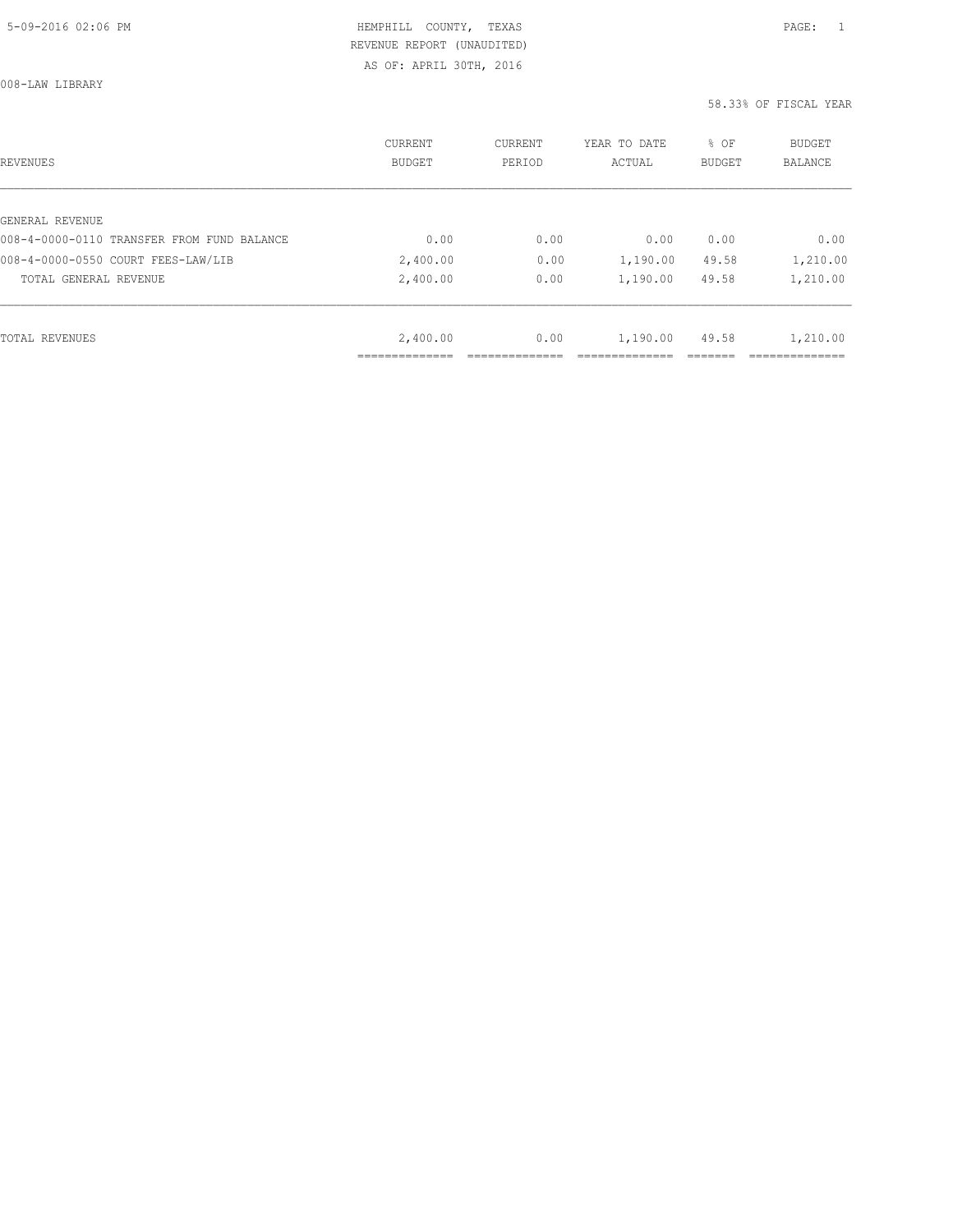008-LAW LIBRARY

| <b>REVENUES</b>                            | CURRENT<br><b>BUDGET</b> | CURRENT<br>PERIOD | YEAR TO DATE<br>ACTUAL | % OF<br>BUDGET | <b>BUDGET</b><br><b>BALANCE</b> |
|--------------------------------------------|--------------------------|-------------------|------------------------|----------------|---------------------------------|
| GENERAL REVENUE                            |                          |                   |                        |                |                                 |
| 008-4-0000-0110 TRANSFER FROM FUND BALANCE | 0.00                     | 0.00              | 0.00                   | 0.00           | 0.00                            |
| 008-4-0000-0550 COURT FEES-LAW/LIB         | 2,400.00                 | 0.00              | 1,190.00               | 49.58          | 1,210.00                        |
| TOTAL GENERAL REVENUE                      | 2,400.00                 | 0.00              | 1,190.00               | 49.58          | 1,210.00                        |
|                                            |                          |                   |                        |                |                                 |
| <b>TOTAL REVENUES</b>                      | 2,400.00                 | 0.00              | 1,190.00               | 49.58          | 1,210.00                        |
|                                            | .                        |                   |                        |                |                                 |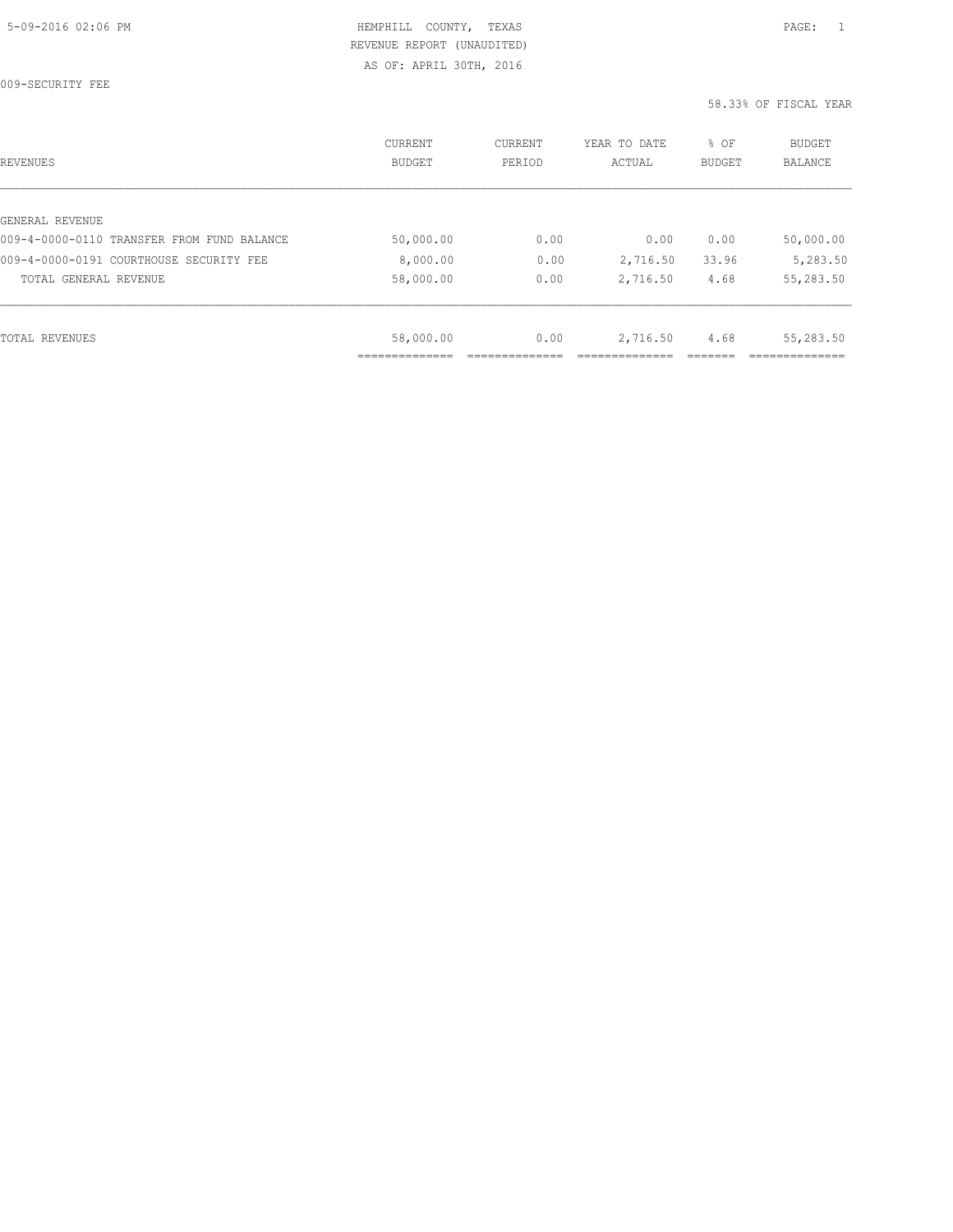009-SECURITY FEE

| REVENUES                                   | <b>CURRENT</b><br><b>BUDGET</b> | CURRENT<br>PERIOD | YEAR TO DATE<br>ACTUAL | % OF<br><b>BUDGET</b> | BUDGET<br><b>BALANCE</b> |
|--------------------------------------------|---------------------------------|-------------------|------------------------|-----------------------|--------------------------|
|                                            |                                 |                   |                        |                       |                          |
| GENERAL REVENUE                            |                                 |                   |                        |                       |                          |
| 009-4-0000-0110 TRANSFER FROM FUND BALANCE | 50,000.00                       | 0.00              | 0.00                   | 0.00                  | 50,000.00                |
| 009-4-0000-0191 COURTHOUSE SECURITY FEE    | 8,000.00                        | 0.00              | 2,716.50               | 33.96                 | 5,283.50                 |
| TOTAL GENERAL REVENUE                      | 58,000.00                       | 0.00              | 2,716.50               | 4.68                  | 55,283.50                |
|                                            |                                 |                   |                        |                       |                          |
| TOTAL REVENUES                             | 58,000.00                       | 0.00              | 2,716.50               | 4.68                  | 55,283.50                |
|                                            |                                 |                   |                        |                       |                          |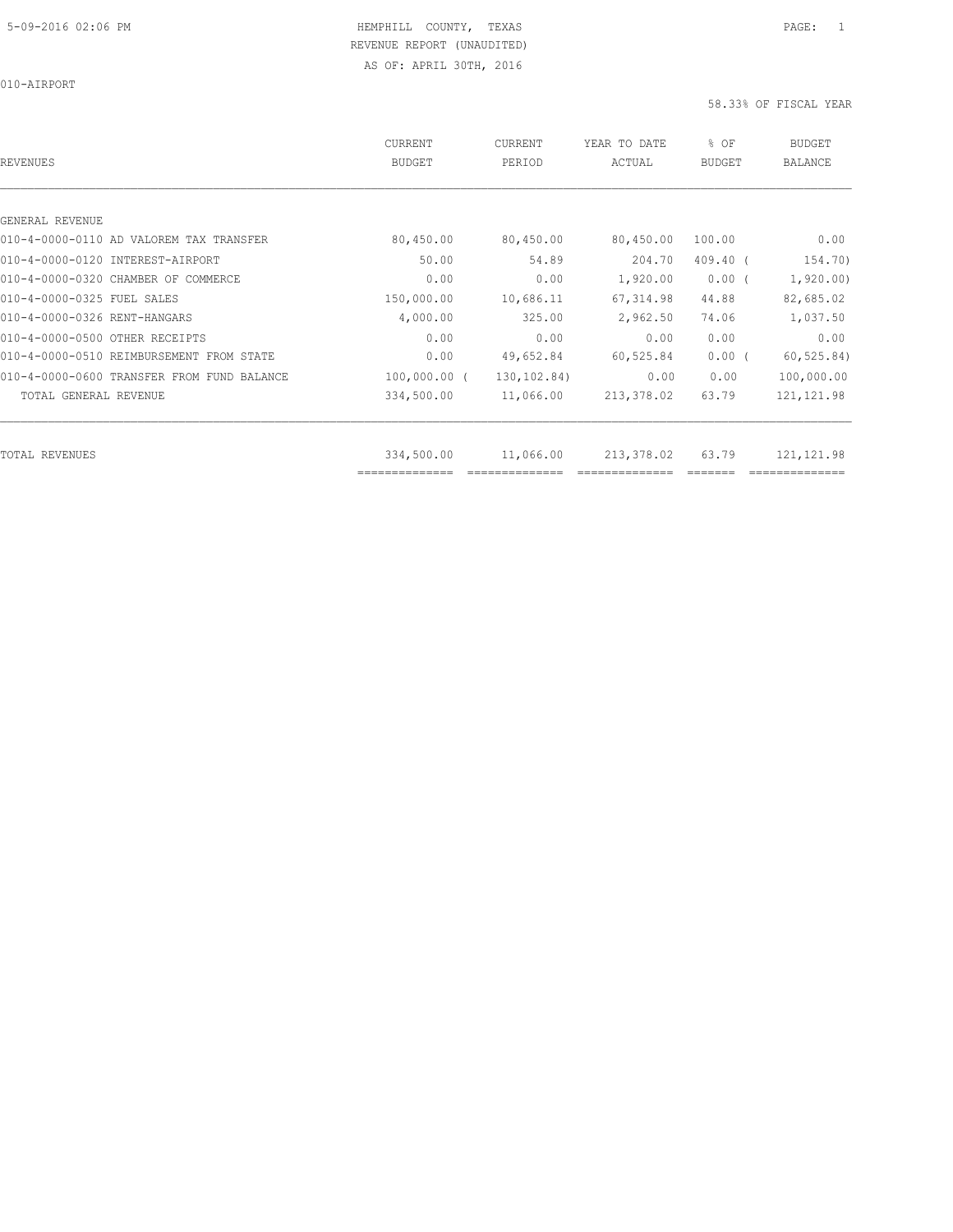010-AIRPORT

| <b>REVENUES</b>                            | <b>CURRENT</b><br>BUDGET     | CURRENT<br>PERIOD | YEAR TO DATE<br>ACTUAL | % OF<br><b>BUDGET</b> | <b>BUDGET</b><br><b>BALANCE</b> |
|--------------------------------------------|------------------------------|-------------------|------------------------|-----------------------|---------------------------------|
|                                            |                              |                   |                        |                       |                                 |
| GENERAL REVENUE                            |                              |                   |                        |                       |                                 |
| 010-4-0000-0110 AD VALOREM TAX TRANSFER    | 80,450.00                    | 80,450.00         | 80,450.00              | 100.00                | 0.00                            |
| 010-4-0000-0120 INTEREST-AIRPORT           | 50.00                        | 54.89             | 204.70                 | $409.40$ (            | 154.70)                         |
| 010-4-0000-0320 CHAMBER OF COMMERCE        | 0.00                         | 0.00              | 1,920.00               | $0.00$ (              | 1,920.00)                       |
| 010-4-0000-0325 FUEL SALES                 | 150,000.00                   | 10,686.11         | 67, 314.98             | 44.88                 | 82,685.02                       |
| 010-4-0000-0326 RENT-HANGARS               | 4,000.00                     | 325.00            | 2,962.50               | 74.06                 | 1,037.50                        |
| 010-4-0000-0500 OTHER RECEIPTS             | 0.00                         | 0.00              | 0.00                   | 0.00                  | 0.00                            |
| 010-4-0000-0510 REIMBURSEMENT FROM STATE   | 0.00                         | 49,652.84         | 60,525.84              | $0.00$ (              | 60, 525.84)                     |
| 010-4-0000-0600 TRANSFER FROM FUND BALANCE | $100,000.00$ (               | 130,102.84)       | 0.00                   | 0.00                  | 100,000.00                      |
| TOTAL GENERAL REVENUE                      | 334,500.00                   | 11,066.00         | 213,378.02             | 63.79                 | 121, 121.98                     |
|                                            |                              |                   |                        |                       |                                 |
| TOTAL REVENUES                             | 334,500.00<br>============== | 11,066.00         | 213,378.02             | 63.79                 | 121, 121.98                     |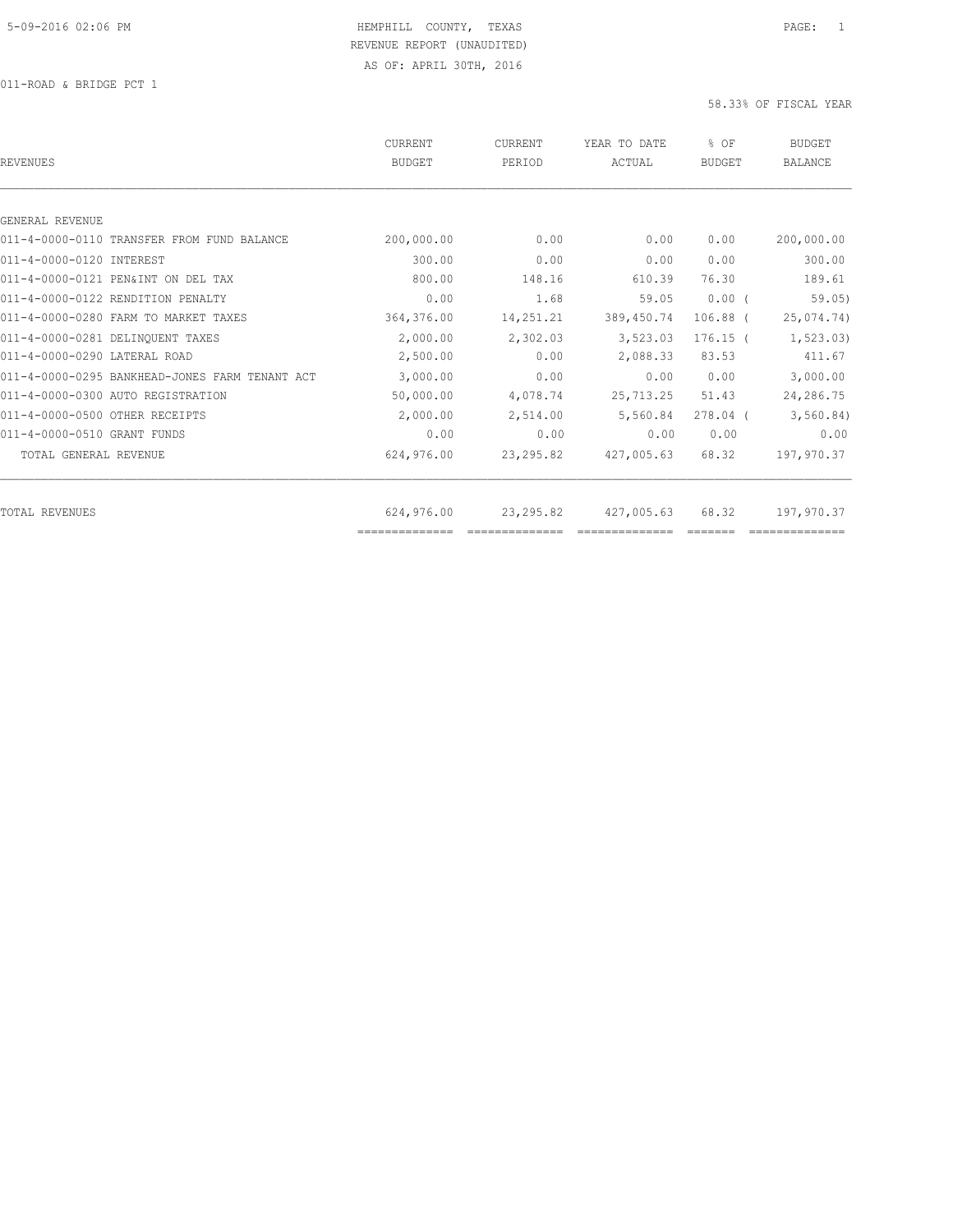| <b>REVENUES</b>                                | <b>CURRENT</b><br><b>BUDGET</b> | CURRENT<br>PERIOD | YEAR TO DATE<br>ACTUAL | % OF<br><b>BUDGET</b> | <b>BUDGET</b><br><b>BALANCE</b> |
|------------------------------------------------|---------------------------------|-------------------|------------------------|-----------------------|---------------------------------|
|                                                |                                 |                   |                        |                       |                                 |
| GENERAL REVENUE                                |                                 |                   |                        |                       |                                 |
| 011-4-0000-0110 TRANSFER FROM FUND BALANCE     | 200,000.00                      | 0.00              | 0.00                   | 0.00                  | 200,000.00                      |
| 011-4-0000-0120 INTEREST                       | 300.00                          | 0.00              | 0.00                   | 0.00                  | 300.00                          |
| 011-4-0000-0121 PEN&INT ON DEL TAX             | 800.00                          | 148.16            | 610.39                 | 76.30                 | 189.61                          |
| 011-4-0000-0122 RENDITION PENALTY              | 0.00                            | 1.68              | 59.05                  | $0.00$ (              | 59.05)                          |
| 011-4-0000-0280 FARM TO MARKET TAXES           | 364,376.00                      | 14,251.21         | 389, 450.74            | $106.88$ (            | 25,074.74)                      |
| 011-4-0000-0281 DELINQUENT TAXES               | 2,000.00                        | 2,302.03          | 3,523.03               | $176.15$ (            | 1, 523.03)                      |
| 011-4-0000-0290 LATERAL ROAD                   | 2,500.00                        | 0.00              | 2,088.33               | 83.53                 | 411.67                          |
| 011-4-0000-0295 BANKHEAD-JONES FARM TENANT ACT | 3,000.00                        | 0.00              | 0.00                   | 0.00                  | 3,000.00                        |
| 011-4-0000-0300 AUTO REGISTRATION              | 50,000.00                       | 4,078.74          | 25,713.25              | 51.43                 | 24,286.75                       |
| 011-4-0000-0500 OTHER RECEIPTS                 | 2,000.00                        | 2,514.00          | 5,560.84               | $278.04$ (            | 3,560.84)                       |
| 011-4-0000-0510 GRANT FUNDS                    | 0.00                            | 0.00              | 0.00                   | 0.00                  | 0.00                            |
| TOTAL GENERAL REVENUE                          | 624,976.00                      | 23, 295.82        | 427,005.63             | 68.32                 | 197,970.37                      |
| TOTAL REVENUES                                 | 624,976.00                      | 23,295.82         | 427,005.63             | 68.32                 | 197,970.37                      |
|                                                | ==============                  |                   |                        |                       |                                 |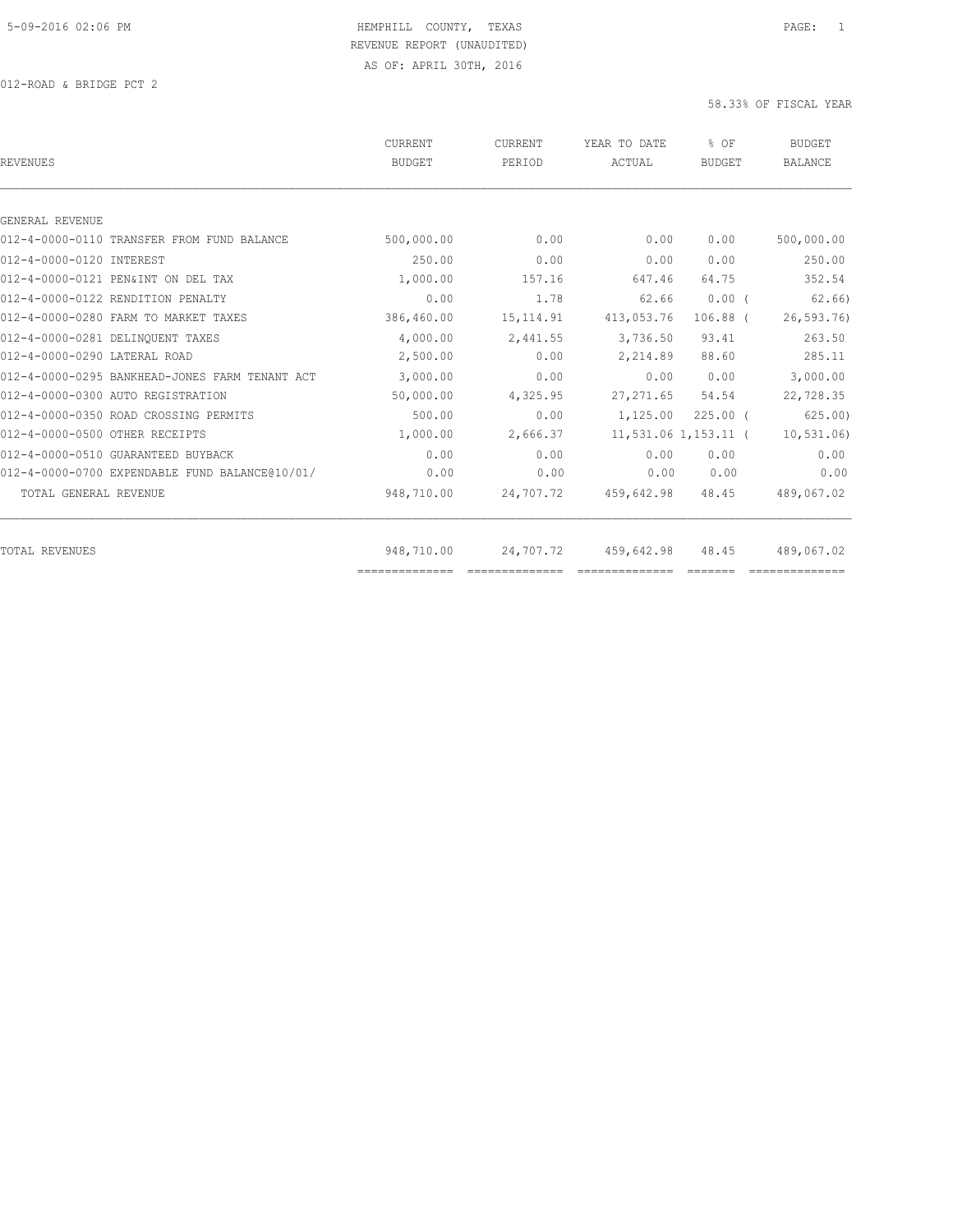| <b>REVENUES</b>                                | <b>CURRENT</b><br><b>BUDGET</b> | CURRENT<br>PERIOD | YEAR TO DATE<br>ACTUAL | % OF<br><b>BUDGET</b> | <b>BUDGET</b><br><b>BALANCE</b> |
|------------------------------------------------|---------------------------------|-------------------|------------------------|-----------------------|---------------------------------|
|                                                |                                 |                   |                        |                       |                                 |
| GENERAL REVENUE                                |                                 |                   |                        |                       |                                 |
| 012-4-0000-0110 TRANSFER FROM FUND BALANCE     | 500,000.00                      | 0.00              | 0.00                   | 0.00                  | 500,000.00                      |
| 012-4-0000-0120 INTEREST                       | 250.00                          | 0.00              | 0.00                   | 0.00                  | 250.00                          |
| 012-4-0000-0121 PEN&INT ON DEL TAX             | 1,000.00                        | 157.16            | 647.46                 | 64.75                 | 352.54                          |
| 012-4-0000-0122 RENDITION PENALTY              | 0.00                            | 1.78              | 62.66                  | $0.00$ (              | 62,66                           |
| 012-4-0000-0280 FARM TO MARKET TAXES           | 386,460.00                      | 15, 114.91        | 413,053.76             | $106.88$ (            | 26, 593.76                      |
| 012-4-0000-0281 DELINQUENT TAXES               | 4,000.00                        | 2,441.55          | 3,736.50               | 93.41                 | 263.50                          |
| 012-4-0000-0290 LATERAL ROAD                   | 2,500.00                        | 0.00              | 2,214.89               | 88.60                 | 285.11                          |
| 012-4-0000-0295 BANKHEAD-JONES FARM TENANT ACT | 3,000.00                        | 0.00              | 0.00                   | 0.00                  | 3,000.00                        |
| 012-4-0000-0300 AUTO REGISTRATION              | 50,000.00                       | 4,325.95          | 27, 271.65             | 54.54                 | 22,728.35                       |
| 012-4-0000-0350 ROAD CROSSING PERMITS          | 500.00                          | 0.00              | 1,125.00               | $225.00$ $($          | 625.00                          |
| 012-4-0000-0500 OTHER RECEIPTS                 | 1,000.00                        | 2,666.37          |                        | 11,531.06 1,153.11 (  | 10, 531.06                      |
| 012-4-0000-0510 GUARANTEED BUYBACK             | 0.00                            | 0.00              | 0.00                   | 0.00                  | 0.00                            |
| 012-4-0000-0700 EXPENDABLE FUND BALANCE@10/01/ | 0.00                            | 0.00              | 0.00                   | 0.00                  | 0.00                            |
| TOTAL GENERAL REVENUE                          | 948,710.00                      | 24,707.72         | 459,642.98             | 48.45                 | 489,067.02                      |
| <b>TOTAL REVENUES</b>                          | 948,710.00                      | 24,707.72         | 459,642.98             | 48.45                 | 489,067.02                      |
|                                                |                                 |                   |                        |                       |                                 |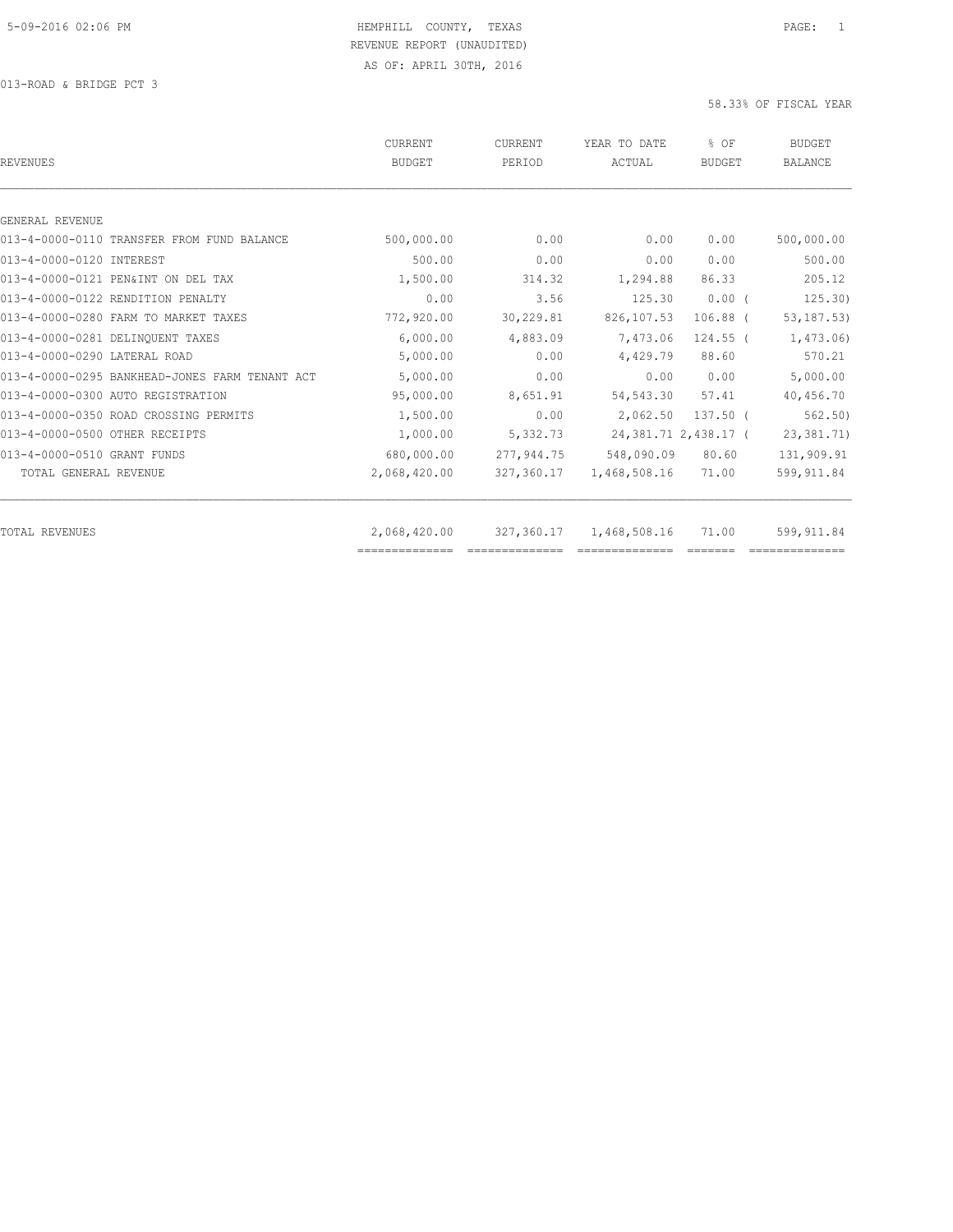013-ROAD & BRIDGE PCT 3

| REVENUES                                       | CURRENT<br><b>BUDGET</b> | CURRENT<br>PERIOD | YEAR TO DATE<br>ACTUAL | % OF<br><b>BUDGET</b>  | <b>BUDGET</b><br><b>BALANCE</b> |
|------------------------------------------------|--------------------------|-------------------|------------------------|------------------------|---------------------------------|
|                                                |                          |                   |                        |                        |                                 |
| GENERAL REVENUE                                |                          |                   |                        |                        |                                 |
| 013-4-0000-0110 TRANSFER FROM FUND BALANCE     | 500,000.00               | 0.00              | 0.00                   | 0.00                   | 500,000.00                      |
| 013-4-0000-0120 INTEREST                       | 500.00                   | 0.00              | 0.00                   | 0.00                   | 500.00                          |
| 013-4-0000-0121 PEN&INT ON DEL TAX             | 1,500.00                 | 314.32            | 1,294.88               | 86.33                  | 205.12                          |
| 013-4-0000-0122 RENDITION PENALTY              | 0.00                     | 3.56              | 125.30                 | $0.00$ (               | 125.30)                         |
| 013-4-0000-0280 FARM TO MARKET TAXES           | 772,920.00               | 30,229.81         | 826, 107.53            | $106.88$ (             | 53, 187.53)                     |
| 013-4-0000-0281 DELINQUENT TAXES               | 6.000.00                 | 4,883.09          | 7,473.06               | $124.55$ (             | 1,473.06)                       |
| 013-4-0000-0290 LATERAL ROAD                   | 5,000.00                 | 0.00              | 4,429.79               | 88.60                  | 570.21                          |
| 013-4-0000-0295 BANKHEAD-JONES FARM TENANT ACT | 5,000.00                 | 0.00              | 0.00                   | 0.00                   | 5,000.00                        |
| 013-4-0000-0300 AUTO REGISTRATION              | 95,000.00                | 8,651.91          | 54, 543.30             | 57.41                  | 40,456.70                       |
| 013-4-0000-0350 ROAD CROSSING PERMITS          | 1,500.00                 | 0.00              | 2,062.50               | $137.50$ (             | 562, 50)                        |
| 013-4-0000-0500 OTHER RECEIPTS                 | 1,000.00                 | 5,332.73          |                        | 24, 381.71 2, 438.17 ( | 23, 381.71)                     |
| 013-4-0000-0510 GRANT FUNDS                    | 680,000.00               | 277,944.75        | 548,090.09             | 80.60                  | 131,909.91                      |
| TOTAL GENERAL REVENUE                          | 2,068,420.00             | 327,360.17        | 1,468,508.16           | 71.00                  | 599, 911.84                     |
| TOTAL REVENUES                                 | 2,068,420.00             | 327,360.17        | 1,468,508.16           | 71.00                  | 599, 911.84                     |
|                                                | ==============           |                   |                        |                        |                                 |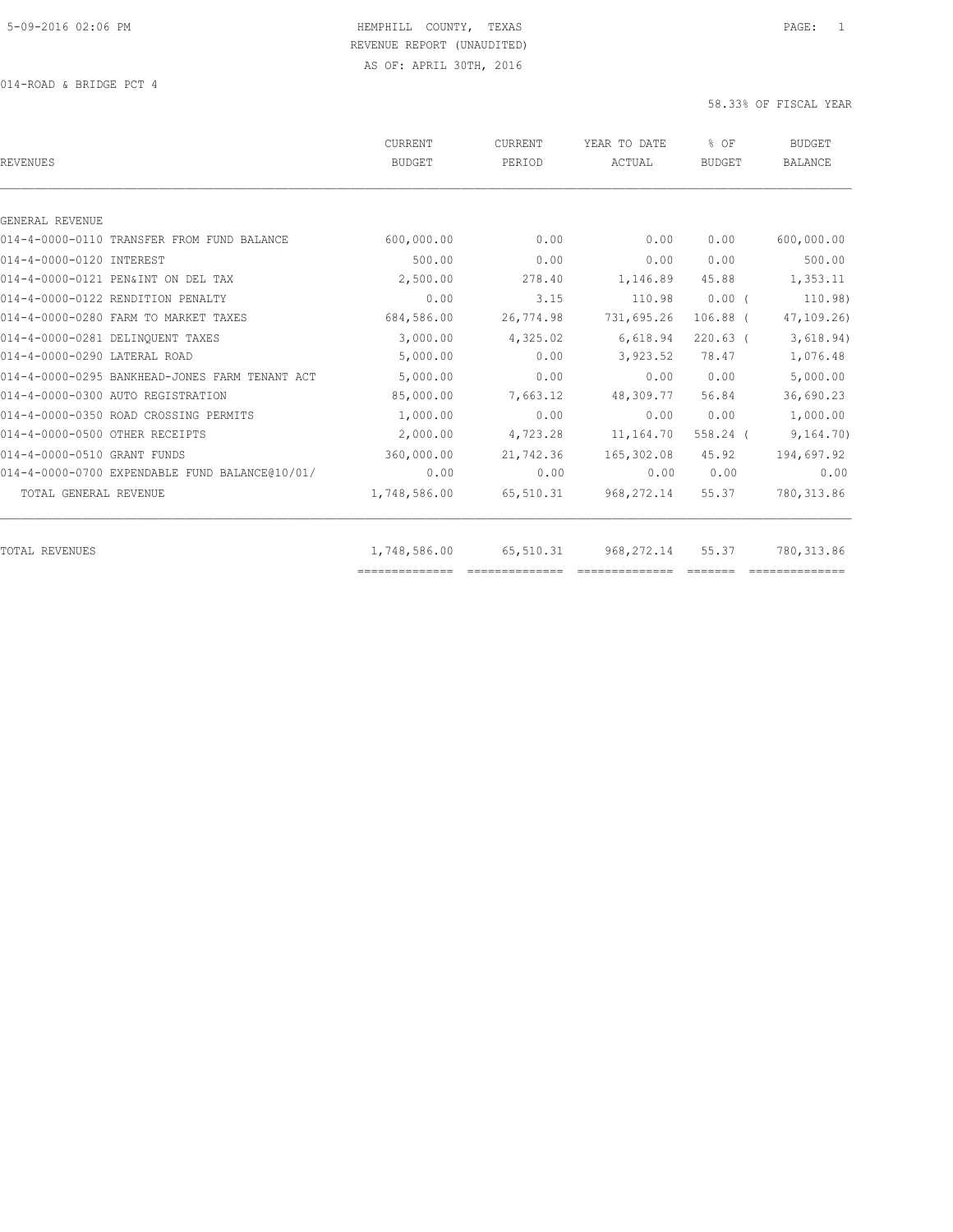| <b>REVENUES</b>                                | <b>CURRENT</b><br><b>BUDGET</b> | <b>CURRENT</b><br>PERIOD | YEAR TO DATE<br>ACTUAL | % OF<br><b>BUDGET</b> | <b>BUDGET</b><br><b>BALANCE</b> |
|------------------------------------------------|---------------------------------|--------------------------|------------------------|-----------------------|---------------------------------|
|                                                |                                 |                          |                        |                       |                                 |
| GENERAL REVENUE                                |                                 |                          |                        |                       |                                 |
| 014-4-0000-0110 TRANSFER FROM FUND BALANCE     | 600,000.00                      | 0.00                     | 0.00                   | 0.00                  | 600,000.00                      |
| 014-4-0000-0120 INTEREST                       | 500.00                          | 0.00                     | 0.00                   | 0.00                  | 500.00                          |
| 014-4-0000-0121 PEN&INT ON DEL TAX             | 2,500.00                        | 278.40                   | 1,146.89               | 45.88                 | 1,353.11                        |
| 014-4-0000-0122 RENDITION PENALTY              | 0.00                            | 3.15                     | 110.98                 | $0.00$ (              | 110.98)                         |
| 014-4-0000-0280 FARM TO MARKET TAXES           | 684,586.00                      | 26,774.98                | 731,695.26             | $106.88$ (            | 47, 109.26                      |
| 014-4-0000-0281 DELINQUENT TAXES               | 3,000.00                        | 4,325.02                 | 6,618.94               | $220.63$ (            | 3,618.94)                       |
| 014-4-0000-0290 LATERAL ROAD                   | 5,000.00                        | 0.00                     | 3,923.52               | 78.47                 | 1,076.48                        |
| 014-4-0000-0295 BANKHEAD-JONES FARM TENANT ACT | 5,000.00                        | 0.00                     | 0.00                   | 0.00                  | 5,000.00                        |
| 014-4-0000-0300 AUTO REGISTRATION              | 85,000.00                       | 7,663.12                 | 48,309.77              | 56.84                 | 36,690.23                       |
| 014-4-0000-0350 ROAD CROSSING PERMITS          | 1,000.00                        | 0.00                     | 0.00                   | 0.00                  | 1,000.00                        |
| 014-4-0000-0500 OTHER RECEIPTS                 | 2,000.00                        | 4,723.28                 | 11,164.70              | $558.24$ (            | 9,164.70)                       |
| 014-4-0000-0510 GRANT FUNDS                    | 360,000.00                      | 21,742.36                | 165,302.08             | 45.92                 | 194,697.92                      |
| 014-4-0000-0700 EXPENDABLE FUND BALANCE@10/01/ | 0.00                            | 0.00                     | 0.00                   | 0.00                  | 0.00                            |
| TOTAL GENERAL REVENUE                          | 1,748,586.00                    | 65,510.31                | 968, 272.14            | 55.37                 | 780, 313.86                     |
| <b>TOTAL REVENUES</b>                          | 1,748,586.00                    | 65,510.31                | 968,272.14             | 55.37                 | 780, 313.86                     |
|                                                |                                 |                          |                        |                       |                                 |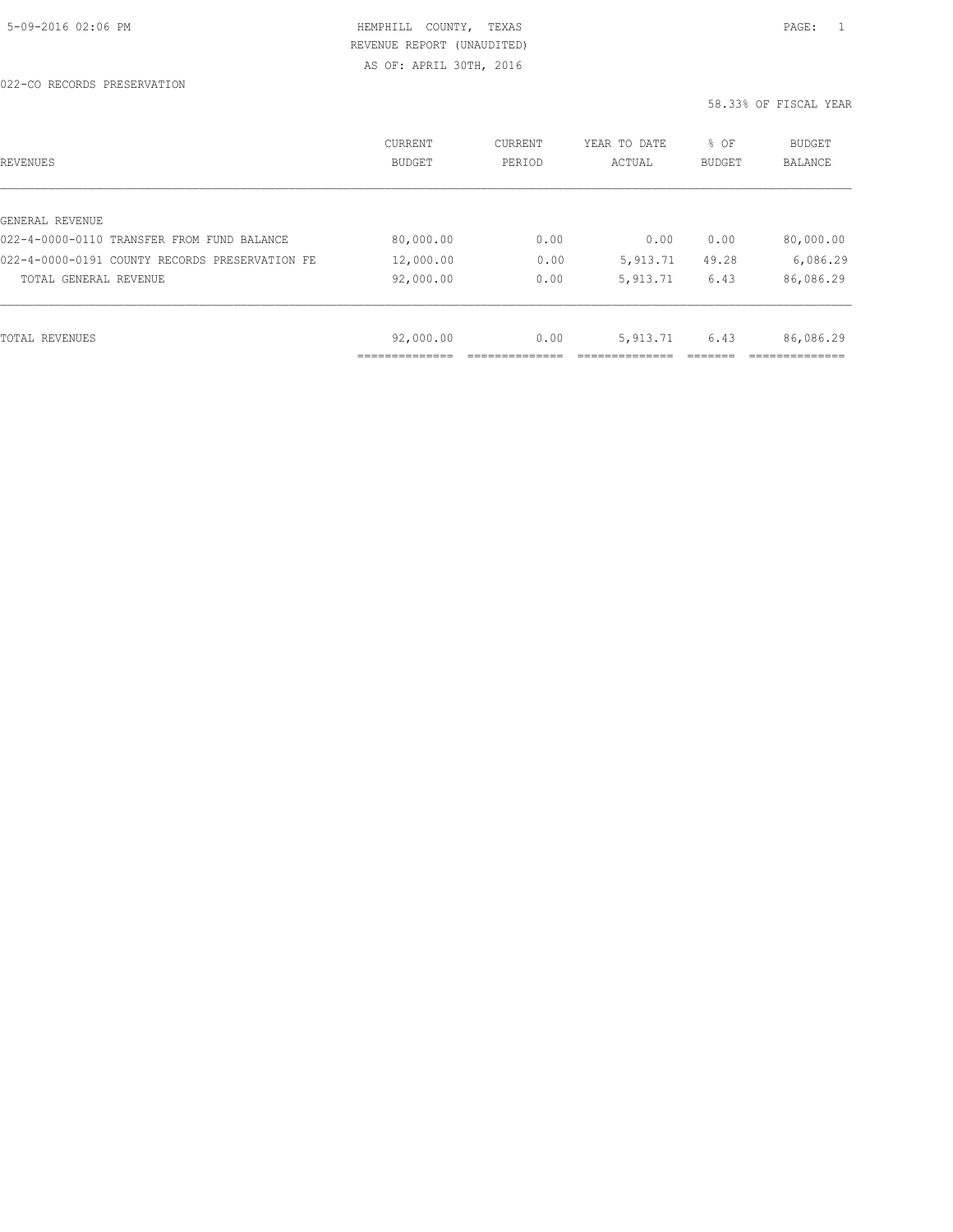AS OF: APRIL 30TH, 2016

| REVENUES                                       | CURRENT<br><b>BUDGET</b> | CURRENT<br>PERIOD | YEAR TO DATE<br>ACTUAL | % OF<br>BUDGET | BUDGET<br>BALANCE |
|------------------------------------------------|--------------------------|-------------------|------------------------|----------------|-------------------|
|                                                |                          |                   |                        |                |                   |
| GENERAL REVENUE                                |                          |                   |                        |                |                   |
| 022-4-0000-0110 TRANSFER FROM FUND BALANCE     | 80,000.00                | 0.00              | 0.00                   | 0.00           | 80,000.00         |
| 022-4-0000-0191 COUNTY RECORDS PRESERVATION FE | 12,000.00                | 0.00              | 5,913.71               | 49.28          | 6,086.29          |
| TOTAL GENERAL REVENUE                          | 92,000.00                | 0.00              | 5,913.71               | 6.43           | 86,086.29         |
|                                                |                          |                   |                        |                |                   |
| TOTAL REVENUES                                 | 92,000.00                | 0.00              | 5, 913.71              | 6.43           | 86,086.29         |
|                                                |                          |                   |                        |                |                   |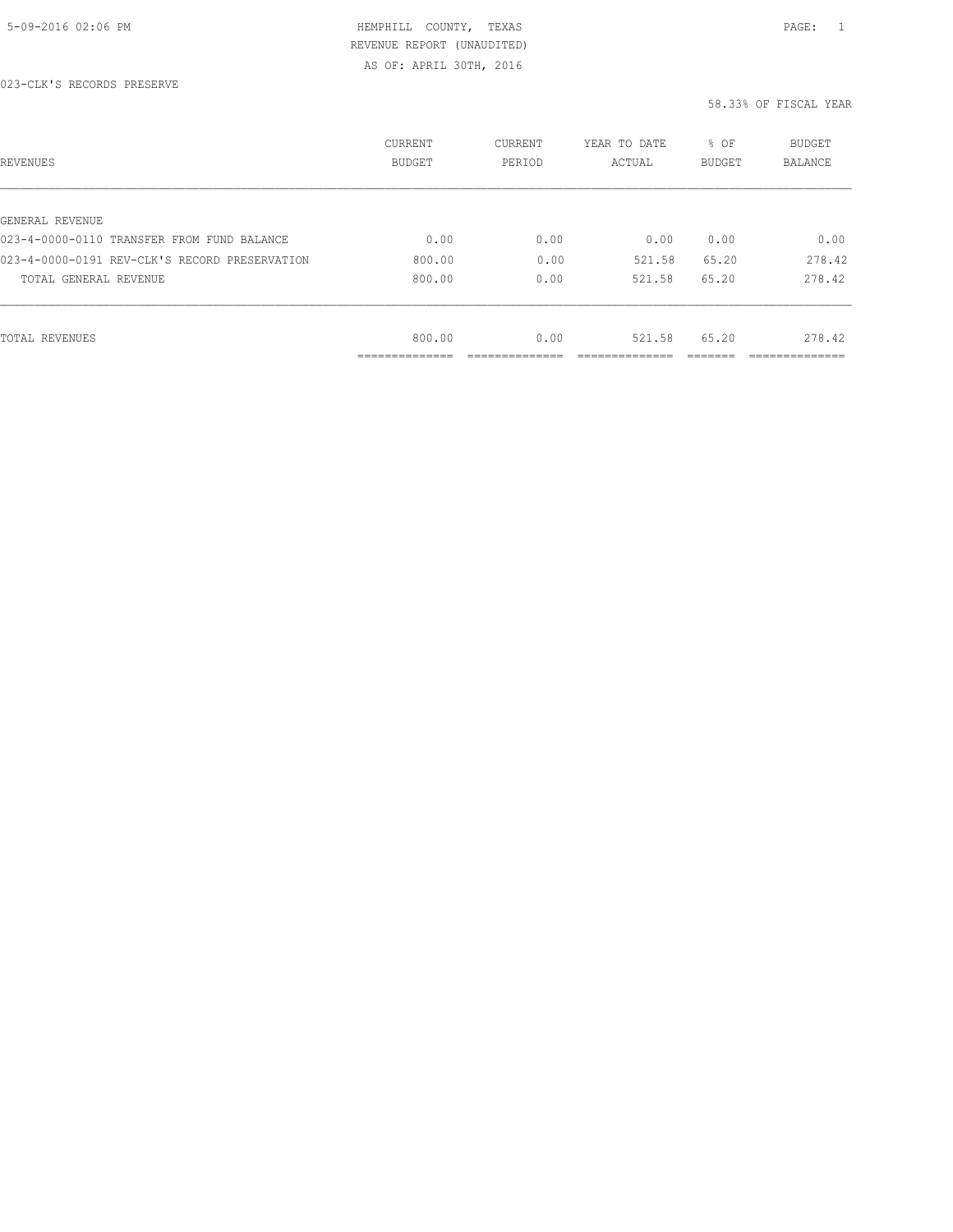AS OF: APRIL 30TH, 2016

| REVENUES                                      | CURRENT<br><b>BUDGET</b> | CURRENT<br>PERIOD | YEAR TO DATE<br>ACTUAL | % OF<br>BUDGET | BUDGET<br>BALANCE |
|-----------------------------------------------|--------------------------|-------------------|------------------------|----------------|-------------------|
|                                               |                          |                   |                        |                |                   |
| GENERAL REVENUE                               |                          |                   |                        |                |                   |
| 023-4-0000-0110 TRANSFER FROM FUND BALANCE    | 0.00                     | 0.00              | 0.00                   | 0.00           | 0.00              |
| 023-4-0000-0191 REV-CLK'S RECORD PRESERVATION | 800.00                   | 0.00              | 521.58                 | 65.20          | 278.42            |
| TOTAL GENERAL REVENUE                         | 800.00                   | 0.00              | 521.58                 | 65.20          | 278.42            |
|                                               |                          |                   |                        |                |                   |
| TOTAL REVENUES                                | 800.00                   | 0.00              | 521.58                 | 65.20          | 278.42            |
|                                               | .                        |                   |                        |                | --------------    |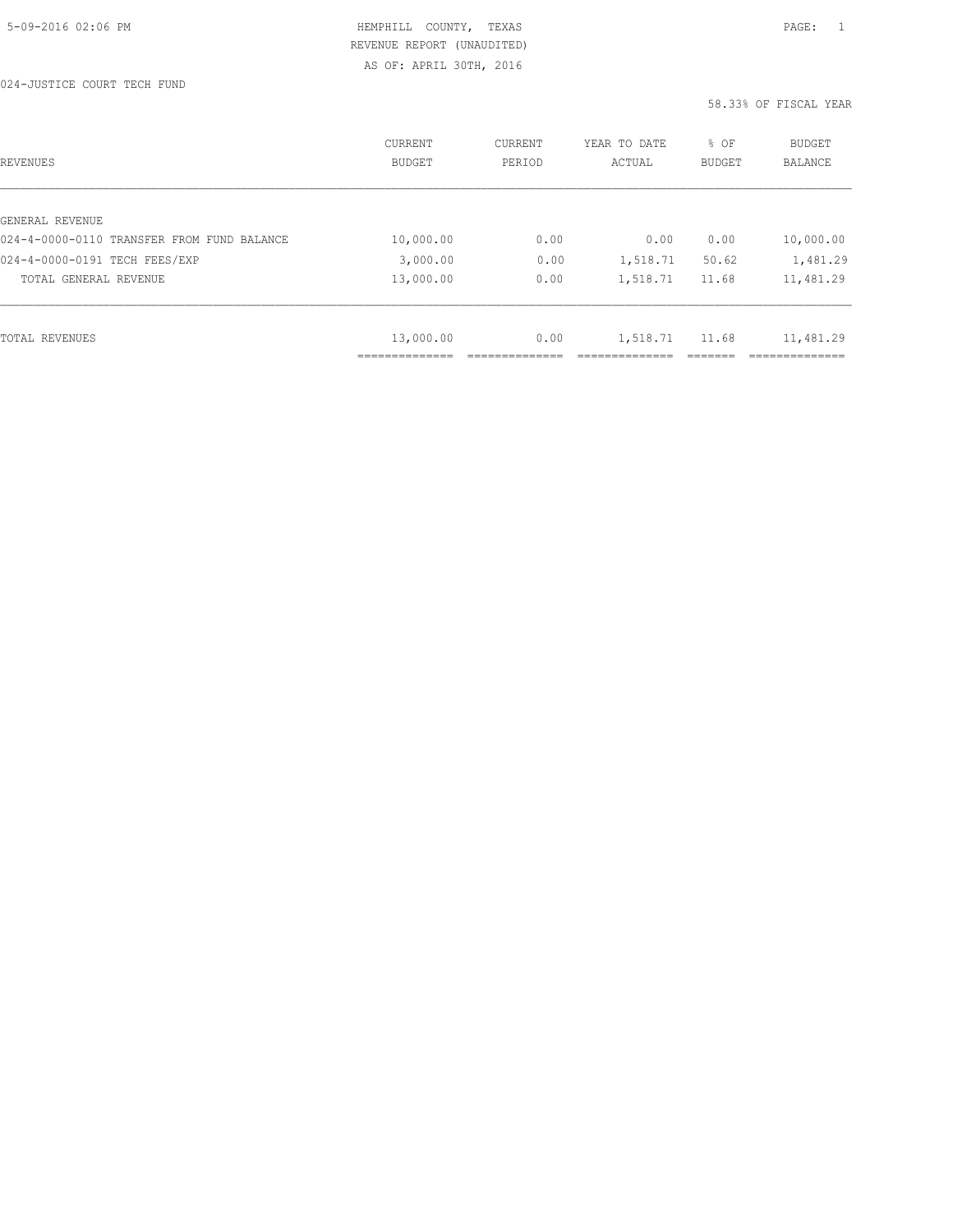AS OF: APRIL 30TH, 2016

| <b>REVENUES</b>                            | <b>CURRENT</b><br><b>BUDGET</b> | CURRENT<br>PERIOD | YEAR TO DATE<br>ACTUAL | % OF<br><b>BUDGET</b> | <b>BUDGET</b><br><b>BALANCE</b> |
|--------------------------------------------|---------------------------------|-------------------|------------------------|-----------------------|---------------------------------|
|                                            |                                 |                   |                        |                       |                                 |
| GENERAL REVENUE                            |                                 |                   |                        |                       |                                 |
| 024-4-0000-0110 TRANSFER FROM FUND BALANCE | 10,000.00                       | 0.00              | 0.00                   | 0.00                  | 10,000.00                       |
| 024-4-0000-0191 TECH FEES/EXP              | 3,000.00                        | 0.00              | 1,518.71               | 50.62                 | 1,481.29                        |
| TOTAL GENERAL REVENUE                      | 13,000.00                       | 0.00              | 1,518.71               | 11.68                 | 11,481.29                       |
|                                            |                                 |                   |                        |                       |                                 |
| TOTAL REVENUES                             | 13,000.00                       | 0.00              | 1,518.71               | 11.68                 | 11,481.29                       |
|                                            |                                 |                   |                        |                       |                                 |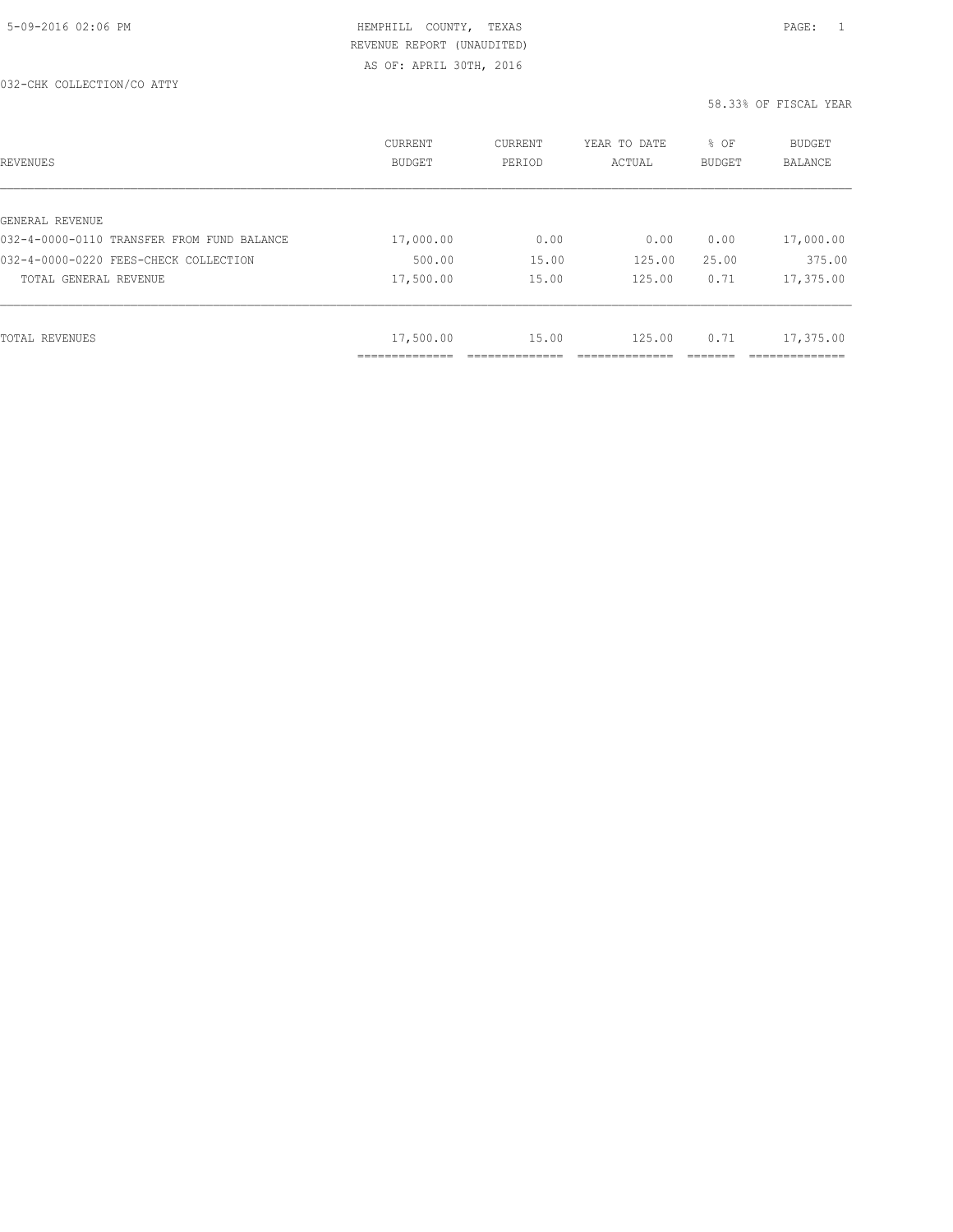| REVENUES                                   | <b>CURRENT</b><br><b>BUDGET</b> | CURRENT<br>PERIOD | YEAR TO DATE<br>ACTUAL | % OF<br>BUDGET | BUDGET<br><b>BALANCE</b> |
|--------------------------------------------|---------------------------------|-------------------|------------------------|----------------|--------------------------|
|                                            |                                 |                   |                        |                |                          |
| GENERAL REVENUE                            |                                 |                   |                        |                |                          |
| 032-4-0000-0110 TRANSFER FROM FUND BALANCE | 17,000.00                       | 0.00              | 0.00                   | 0.00           | 17,000.00                |
| 032-4-0000-0220 FEES-CHECK COLLECTION      | 500.00                          | 15.00             | 125.00                 | 25.00          | 375.00                   |
| TOTAL GENERAL REVENUE                      | 17,500.00                       | 15.00             | 125.00                 | 0.71           | 17,375.00                |
|                                            |                                 |                   |                        |                |                          |
| TOTAL REVENUES                             | 17,500.00                       | 15.00             | 125.00                 | 0.71           | 17,375.00                |
|                                            | ____________                    |                   |                        |                |                          |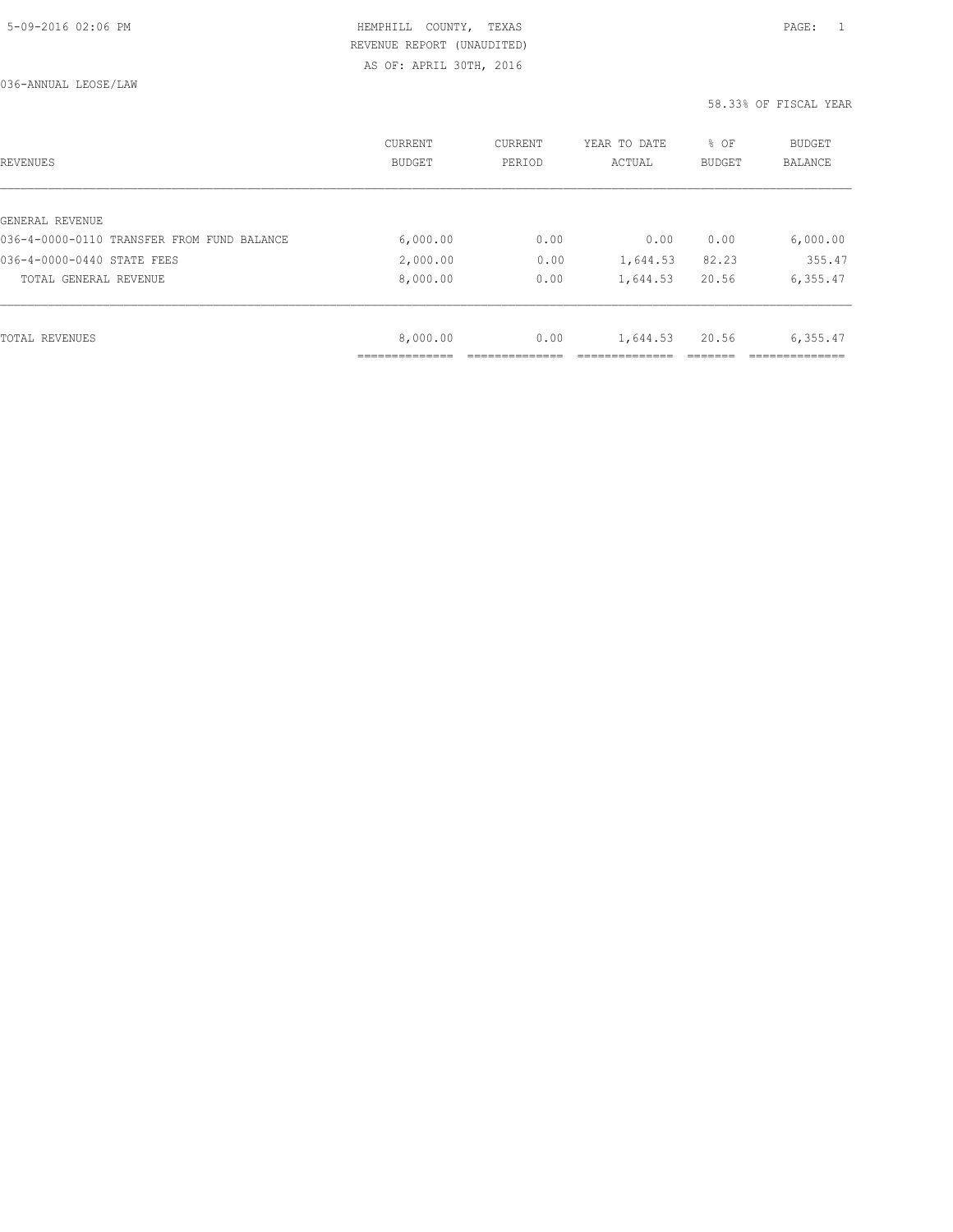AS OF: APRIL 30TH, 2016

| REVENUES                                   | CURRENT<br><b>BUDGET</b> | CURRENT<br>PERIOD | YEAR TO DATE<br>ACTUAL | % OF<br>BUDGET | BUDGET<br><b>BALANCE</b> |
|--------------------------------------------|--------------------------|-------------------|------------------------|----------------|--------------------------|
|                                            |                          |                   |                        |                |                          |
| GENERAL REVENUE                            |                          |                   |                        |                |                          |
| 036-4-0000-0110 TRANSFER FROM FUND BALANCE | 6,000.00                 | 0.00              | 0.00                   | 0.00           | 6,000.00                 |
| 036-4-0000-0440 STATE FEES                 | 2,000.00                 | 0.00              | 1,644.53               | 82.23          | 355.47                   |
| TOTAL GENERAL REVENUE                      | 8,000.00                 | 0.00              | 1,644.53               | 20.56          | 6,355.47                 |
|                                            |                          |                   |                        |                |                          |
| TOTAL REVENUES                             | 8,000.00                 | 0.00              | 1,644.53               | 20.56          | 6,355.47                 |
|                                            |                          |                   |                        |                |                          |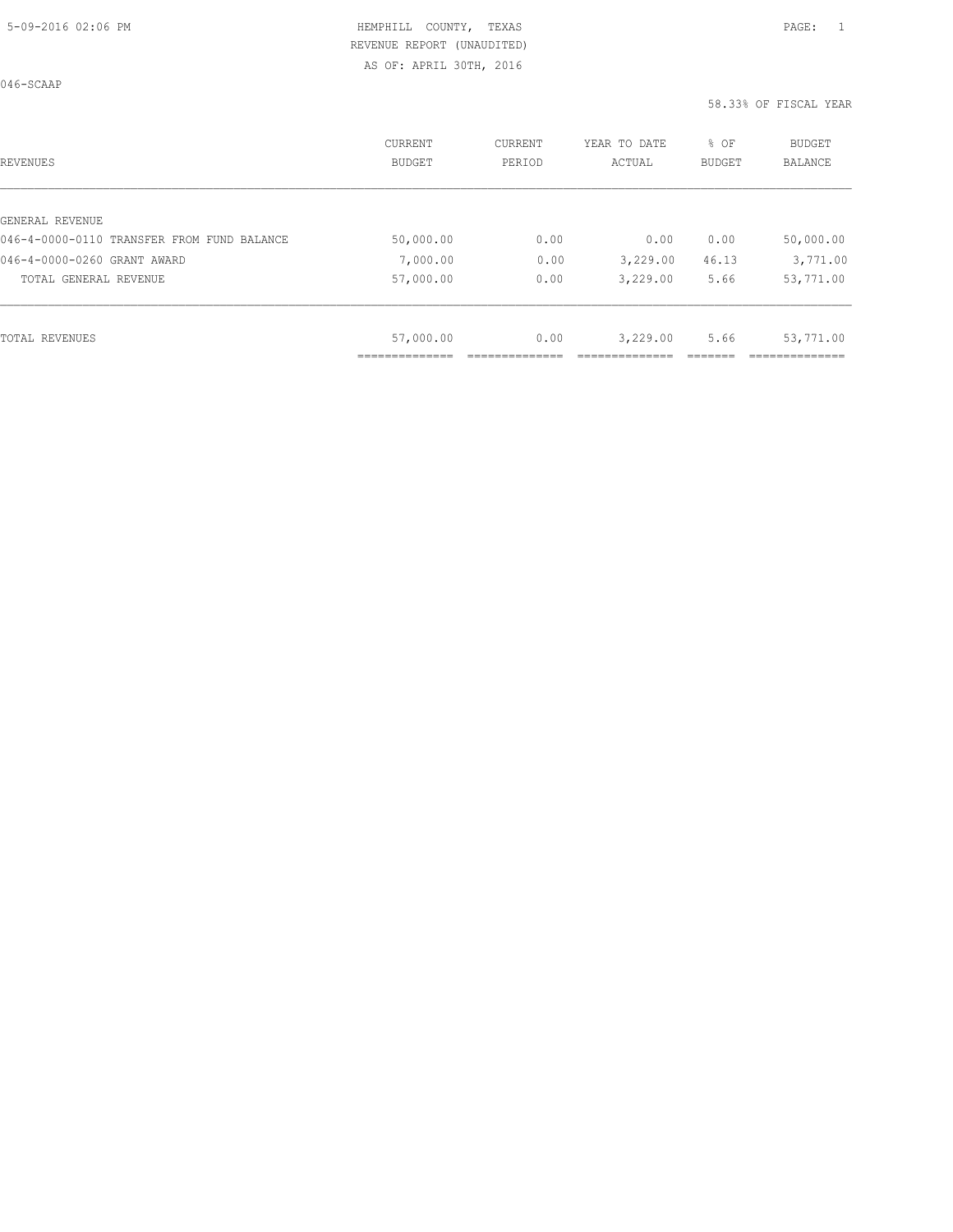046-SCAAP

| REVENUES                                   | CURRENT<br><b>BUDGET</b> | CURRENT<br>PERIOD | YEAR TO DATE<br>ACTUAL | % OF<br>BUDGET | <b>BUDGET</b><br><b>BALANCE</b> |
|--------------------------------------------|--------------------------|-------------------|------------------------|----------------|---------------------------------|
|                                            |                          |                   |                        |                |                                 |
| GENERAL REVENUE                            |                          |                   |                        |                |                                 |
| 046-4-0000-0110 TRANSFER FROM FUND BALANCE | 50,000.00                | 0.00              | 0.00                   | 0.00           | 50,000.00                       |
| 046-4-0000-0260 GRANT AWARD                | 7,000.00                 | 0.00              | 3,229.00               | 46.13          | 3,771.00                        |
| TOTAL GENERAL REVENUE                      | 57,000.00                | 0.00              | 3,229.00               | 5.66           | 53,771.00                       |
|                                            |                          |                   |                        |                |                                 |
| TOTAL REVENUES                             | 57,000.00                | 0.00              | 3,229.00               | 5.66           | 53,771.00                       |
|                                            |                          |                   |                        |                |                                 |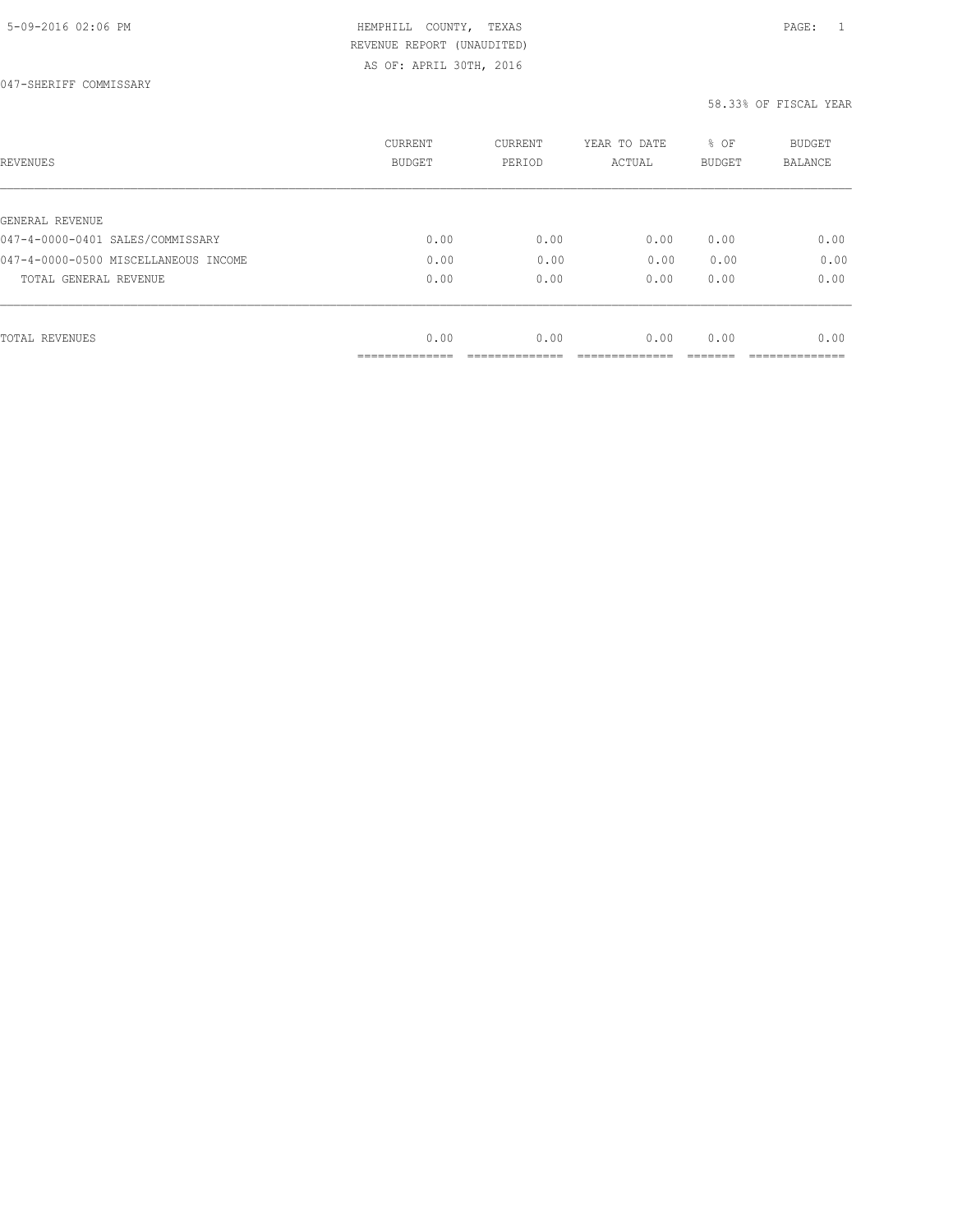AS OF: APRIL 30TH, 2016

| REVENUES                             | CURRENT<br><b>BUDGET</b> | CURRENT<br>PERIOD | YEAR TO DATE<br>ACTUAL | % OF<br>BUDGET | BUDGET<br>BALANCE |
|--------------------------------------|--------------------------|-------------------|------------------------|----------------|-------------------|
|                                      |                          |                   |                        |                |                   |
| GENERAL REVENUE                      |                          |                   |                        |                |                   |
| 047-4-0000-0401 SALES/COMMISSARY     | 0.00                     | 0.00              | 0.00                   | 0.00           | 0.00              |
| 047-4-0000-0500 MISCELLANEOUS INCOME | 0.00                     | 0.00              | 0.00                   | 0.00           | 0.00              |
| TOTAL GENERAL REVENUE                | 0.00                     | 0.00              | 0.00                   | 0.00           | 0.00              |
|                                      |                          |                   |                        |                |                   |
| TOTAL REVENUES                       | 0.00                     | 0.00              | 0.00                   | 0.00           | 0.00              |
|                                      | ------------             |                   |                        |                |                   |